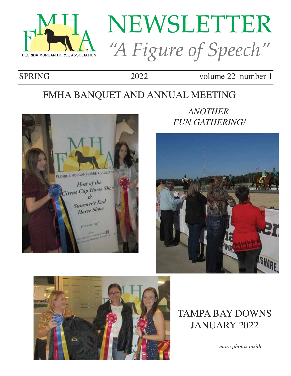

# NEWSLETTER "A Figure of Speech"

SPRING 2022 volume 22 number 1

# FMHA BANQUET AND ANNUAL MEETING



*ANOTHER FUN GATHERING!*





TAMPA BAY DOWNS JANUARY 2022

*more photos inside*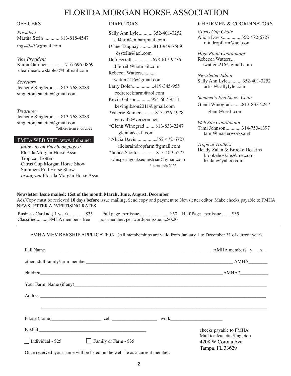# FLORIDA MORGAN HORSE ASSOCIATION

*President* Martha Stein .............813-818-4547 mgs4547@gmail.com

*Vice President*  Karen Gardner...............716-696-0869 clearmeadowstables@hotmail.com

*Secretary* Jeanette Singleton......813-768-8089 singletonjeanette@gmail.com

*Treasurer* Jeanette Singleton......813-768-8089 singletonjeanette@gmail.com \*officer term ends 2022

#### FMHA WEB SITE: www.fmha.net

*follow us on Facebook pages:* Florida Morgan Horse Assn. Tropical Trotters Citrus Cup Morgan Horse Show Summers End Horse Show *Instagram*:Florida Morgan Horse Assn.

Sally Ann Lyle............352-401-0252 sal4art@embarqmail.com Diane Tanguay ...........813-949-7509 dsstella@aol.com Deb Ferrell.................678-617-9276 djferrell@hotmail.com Rebecca Watters........... rwatters216@gmail.com Larry Bolen.................419-345-955 cedrcreekfarm@aol.com Kevin Gibson............954-607-9511 kevingibson2011@gmail.com \*Valerie Seimer............813-926-1978 geoval2@verizon.net \*Glenn Winograd.........813-833-2247 glenn@cesfl.com \*Alicia Davis................352-472-6727 aliciaraindropfarm@gmail.com \*Janice Scotto...............813-409-5272 whisperingoaksequestrian@gmail.com \*-term ends 2022

#### OFFICERS DIRECTORS DIRECTORS CHAIRMEN & COORDINATORS

*Citrus Cup Chair* Alicia Davis...............352-472-6727 raindropfarm@aol.com

*High Point Coordinator* Rebecca Watters... rwatters216@gmail.com

*Newsletter Editor* Sally Ann Lyle............352-401-0252 artist@sallylyle.com

*Summer's End Show Chair* Glenn Winograd.........813-833-2247 glenn@cesfl.com

*Web Site Coordinator* Tami Johnson.............314-750-1397 tami@masterworks.net

*Tropical Trotters* Heady Zalan & Brooke Hoskins brookehoskins@me.com hzalan@yahoo.com

#### **Newsletter Issue mailed: 15st of the month March, June, August, December**

Ads/Copy must be recieved **10** days **before** issue mailing. Send copy and payment to Newsletter editor. Make checks payable to FMHA NEWSLETTER ADVERTISING RATES

Business Card ad ( 1 year)...............\$35 Full page, per issue..........................\$50 Half Page, per issue.........\$35

Classified..........FMHA member - free non-member, per word/per issue.....\$0.20

FMHA MEMBERSHIP APPLICATION (All memberships are valid from January 1 to December 31 of current year)

|                    |                       | other adult family/farm member AMHA                                 |  |
|--------------------|-----------------------|---------------------------------------------------------------------|--|
|                    |                       |                                                                     |  |
|                    |                       |                                                                     |  |
|                    |                       |                                                                     |  |
|                    |                       |                                                                     |  |
|                    |                       |                                                                     |  |
|                    |                       | checks payable to FMHA                                              |  |
| Individual - $$25$ | Family or Farm - \$35 | Mail to: Jeanette Singleton<br>4208 W Corona Ave<br>Tampa, FL 33629 |  |

Once received, your name will be listed on the website as a current member.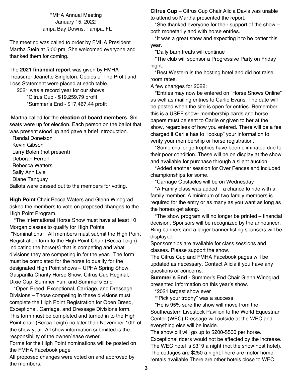FMHA Annual Meeting January 15, 2022 Tampa Bay Downs, Tampa, FL

The meeting was called to order by FMHA President Martha Stein at 5:00 pm. She welcomed everyone and thanked them for coming.

The **2021 financial report** was given by FMHA Treasurer Jeanette Singleton. Copies of The Profit and Loss Statement were placed at each table.

 2021 was a record year for our shows. \*Citrus Cup - \$19,259.79 profit

\*Summer's End - \$17,467.44 profit

 Martha called for the **election of board members**. Six seats were up for election. Each person on the ballot that was present stood up and gave a brief introduction.

 Randal Donelson Kevin Gibson Larry Bolen (not present) Deborah Ferrell Rebecca Watters Sally Ann Lyle Diane Tanguay

Ballots were passed out to the members for voting.

**High Point** Chair Becca Waters and Glenn Winograd asked the members to vote on proposed changes to the High Point Program.

 \*The International Horse Show must have at least 10 Morgan classes to qualify for High Points.

 \*Nominations – All members must submit the High Point Registration form to the High Point Chair (Becca Leigh) indicating the horse(s) that is competing and what divisions they are competing in for the year. The form must be completed for the horse to qualify for the designated High Point shows – UPHA Spring Show, Gasparilla Charity Horse Show, Citrus Cup Reginal, Dixie Cup, Summer Fun, and Summer's End

 \*Open Breed, Exceptional, Carriage, and Dressage Divisions – Those competing in these divisions must complete the High Point Registration for Open Breed, Exceptional, Carriage, and Dressage Divisions form. This form must be completed and turned in to the High Point chair (Becca Leigh) no later than November 10th of the show year. All show information submitted is the responsibility of the owner/lease owner.

Forms for the High Point nominations will be posted on the FMHA Facebook page

All proposed changes were voted on and approved by the members.

**Citrus Cup** – Citrus Cup Chair Alicia Davis was unable to attend so Martha presented the report.

 \*She thanked everyone for their support of the show – both monetarily and with horse entries.

 \*It was a great show and expecting it to be better this year.

\*Daily barn treats will continue

 \*The club will sponsor a Progressive Party on Friday night.

 \*Best Western is the hosting hotel and did not raise room rates.

A few changes for 2022:

 \*Entries may now be entered on "Horse Shows Online" as well as mailing entries to Carlie Evans. The date will be posted when the site is open for entries. Remember this is a USEF show- membership cards and horse papers must be sent to Carlie or given to her at the show, regardless of how you entered. There will be a fee charged if Carlie has to "lookup" your information to verify your membership or horse registration.

 \*Some challenge trophies have been eliminated due to their poor condition. These will be on display at the show and available for purchase through a silent auction.

 \*Added another session for Over Fences and included championships for some.

\*Carriage Obstacles will be on Wednesday

 \*A Family class was added – a chance to ride with a family member. A minimum of two family members is required for the entry or as many as you want as long as the horses get along.

 \*The show program will no longer be printed – financial decision. Sponsors will be recognized by the announcer. Ring banners and a larger banner listing sponsors will be displayed.

Sponsorships are available for class sessions and classes. Please support the show.

The Citrus Cup and FMHA Facebook pages will be updated as necessary. Contact Alicia if you have any questions or concerns.

**Summer's End** - Summer's End Chair Glenn Winograd presented information on this year's show.

\*2021 largest show ever

\*"Pick your trophy" was a success

 \*He is 95% sure the show will move from the Southeastern Livestock Pavilion to the World Equestrian Center (WEC) Dressage will outside at the WEC and everything else will be inside.

The show bill will go up to \$200-\$500 per horse.

Exceptional riders would not be affected by the increase. The WEC hotel is \$319 a night (not the show host hotel). The cottages are \$250 a night.There are motor home rentals available.There are other hotels close to WEC.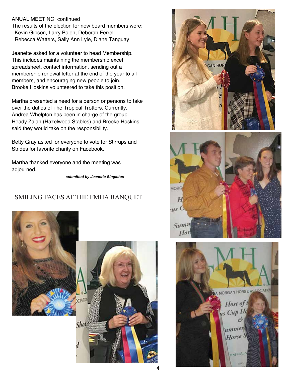### ANUAL MEETING continued

The results of the election for new board members were: Kevin Gibson, Larry Bolen, Deborah Ferrell Rebecca Watters, Sally Ann Lyle, Diane Tanguay

Jeanette asked for a volunteer to head Membership. This includes maintaining the membership excel spreadsheet, contact information, sending out a membership renewal letter at the end of the year to all members, and encouraging new people to join. Brooke Hoskins volunteered to take this position.

Martha presented a need for a person or persons to take over the duties of The Tropical Trotters. Currently, Andrea Whelpton has been in charge of the group. Heady Zalan (Hazelwood Stables) and Brooke Hoskins said they would take on the responsibility.

Betty Gray asked for everyone to vote for Stirrups and Strides for favorite charity on Facebook.

Martha thanked everyone and the meeting was adjourned.

*submitted by Jeanette Singleton*

## SMILING FACES AT THE FMHA BANQUET







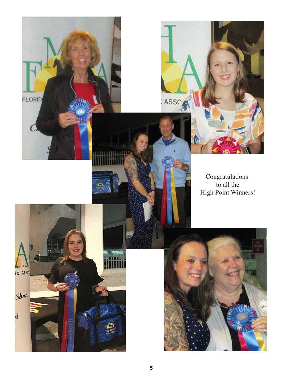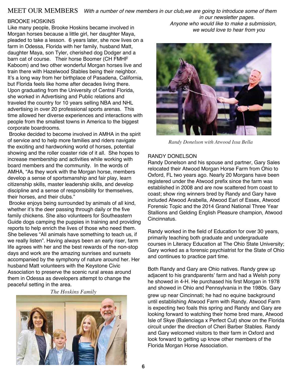## MEET OUR MEMBERS *With a number of new members in our club,we are going to introduce some of them*

#### BROOKE HOSKINS

Like many people, Brooke Hoskins became involved in Morgan horses because a little girl, her daughter Maya, pleaded to take a lesson. 6 years later, she now lives on a farm in Odessa, Florida with her family, husband Matt, daughter Maya, son Tyler, cherished dog Dodger and a barn cat of course. Their horse Boomer (CH FMHF Kaboom) and two other wonderful Morgan horses live and train there with Hazelwood Stables being their neighbor. It's a long way from her birthplace of Pasadena, California, but Florida feels like home after decades living there. Upon graduating from the University of Central Florida, she worked in Advertising and Public relations and traveled the country for 10 years selling NBA and NHL advertising in over 20 professional sports arenas. This time allowed her diverse experiences and interactions with people from the smallest towns in America to the biggest corporate boardrooms.

 Brooke decided to become involved in AMHA in the spirit of service and to help more families and riders navigate the exciting and hardworking world of horses, potential showing and the roller coaster ride of it all. She hopes to increase membership and activities while working with board members and the community. In the words of AMHA, "As they work with the Morgan horse, members develop a sense of sportsmanship and fair play, learn citizenship skills, master leadership skills, and develop discipline and a sense of responsibility for themselves, their horses, and their clubs."

 Brooke enjoys being surrounded by animals of all kind, whether it's the deer passing through daily or the five family chickens. She also volunteers for Southeastern Guide dogs camping the puppies in training and providing reports to help enrich the lives of those who need them. She believes "All animals have something to teach us, if we really listen". Having always been an early riser, farm life agrees with her and the best rewards of the non-stop days and work are the amazing sunrises and sunsets accompanied by the symphony of nature around her. Her husband Matt volunteers with the Keystone Civic Association to preserve the scenic rural areas around them in Odessa as developers attempt to change the peaceful setting in the area.

*The Hoskins Family*



*in our newsletter pages. Anyone who would like to make a submission, we would love to hear from you* 



*Randy Donelson with Atwood Issa Bella*

#### RANDY DONELSON

Randy Donelson and his spouse and partner, Gary Sales relocated their Atwood Morgan Horse Farm from Ohio to Oxford, FL two years ago. Nearly 20 Morgans have been registered under the Atwood prefix since the farm was established in 2008 and are now scattered from coast to coast; show ring winners bred by Randy and Gary have included Atwood Arabella, Atwood Earl of Essex, Atwood Forensic Topic and the 2014 Grand National Three Year Stallions and Gelding English Pleasure champion, Atwood Cincinnatus.

Randy worked in the field of Education for over 30 years, primarily teaching both graduate and undergraduate courses in Literacy Education at The Ohio State University; Gary worked as a forensic psychiatrist for the State of Ohio and continues to practice part time.

Both Randy and Gary are Ohio natives. Randy grew up adjacent to his grandparents' farm and had a Welsh pony he showed in 4-H. He purchased his first Morgan in 1978 and showed in Ohio and Pennsylvania in the 1980s. Gary grew up near Cincinnati; he had no equine background until establishing Atwood Farm with Randy. Atwood Farm is expecting two foals this spring and Randy and Gary are looking forward to watching their home bred mare, Atwood Isle of Skye (Balenciaga x Perfect Cut) show on the Florida circuit under the direction of Cheri Barber Stables. Randy and Gary welcomed visitors to their farm in Oxford and look forward to getting up know other members of the Florida Morgan Horse Association.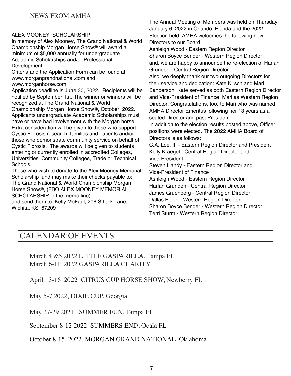## ALEX MOONEY SCHOLARSHIP

In memory of Alex Mooney, The Grand National & World Championship Morgan Horse Show® will award a minimum of \$5,000 annually for undergraduate Academic Scholarships and/or Professional Development.

Criteria and the Application Form can be found at www.morgangrandnational.com and www.morganhorse.com

Application deadline is June 30, 2022. Recipients will be notified by September 1st. The winner or winners will be recognized at The Grand National & World Championship Morgan Horse Show®, October, 2022. Applicants undergraduate Academic Scholarships must have or have had involvement with the Morgan horse. Extra consideration will be given to those who support Cystic Fibrosis research, families and patients and/or those who demonstrate community service on behalf of Cystic Fibrosis. The awards will be given to students entering or currently enrolled in accredited Colleges, Universities, Community Colleges, Trade or Technical Schools.

Those who wish to donate to the Alex Mooney Memorial Scholarship fund may make their checks payable to: The Grand National & World Championship Morgan Horse Show®, (FBO ALEX MOONEY MEMORIAL SCHOLARSHIP in the memo line) and send them to: Kelly McFaul, 206 S Lark Lane, Wichita, KS 67209

The Annual Meeting of Members was held on Thursday, January 6, 2022 in Orlando, Florida and the 2022 Election held. AMHA welcomes the following new Directors to our Board:

Ashleigh Wood - Eastern Region Director Sharon Boyce Bender - Western Region Director and, we are happy to announce the re-election of Harlan Grunden - Central Region Director.

Also, we deeply thank our two outgoing Directors for their service and dedication: Kate Kirsch and Mari Sanderson. Kate served as both Eastern Region Director and Vice-President of Finance; Mari as Western Region Director. Congratulations, too, to Mari who was named AMHA Director Emeritus following her 13 years as a seated Director and past President.

In addition to the election results posted above, Officer positions were elected. The 2022 AMHA Board of Directors is as follows:

C.A. Lee, III - Eastern Region Director and President Kelly Kraegel - Central Region Director and Vice-President

Steven Handy - Eastern Region Director and Vice-President of Finance

Ashleigh Wood - Eastern Region Director

Harlan Grunden - Central Region Director

James Gruenberg - Central Region Director

Dallas Bolen - Western Region Director

Sharon Boyce Bender - Western Region Director Terri Sturm - Western Region Director

# CALENDAR OF EVENTS

March 4 &5 2022 LITTLE GASPARILLA, Tampa FL March 6-11 2022 GASPARILLA CHARITY

April 13-16 2022 CITRUS CUP HORSE SHOW, Newberry FL

May 5-7 2022, DIXIE CUP, Georgia

May 27-29 2021 SUMMER FUN, Tampa FL

September 8-12 2022 SUMMERS END, Ocala FL

October 8-15 2022, MORGAN GRAND NATIONAL, Oklahoma